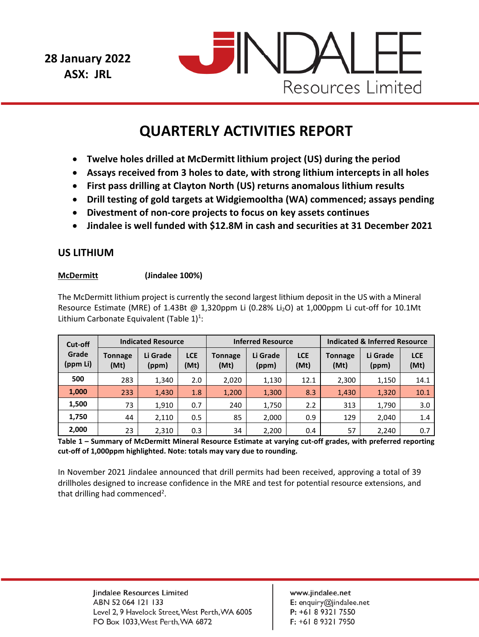**28 January 2022 ASX: JRL** 



# **QUARTERLY ACTIVITIES REPORT**

- **Twelve holes drilled at McDermitt lithium project (US) during the period**
- **Assays received from 3 holes to date, with strong lithium intercepts in all holes**
- **First pass drilling at Clayton North (US) returns anomalous lithium results**
- **Drill testing of gold targets at Widgiemooltha (WA) commenced; assays pending**
- **Divestment of non-core projects to focus on key assets continues**
- **Jindalee is well funded with \$12.8M in cash and securities at 31 December 2021**

# **US LITHIUM**

# **McDermitt (Jindalee 100%)**

The McDermitt lithium project is currently the second largest lithium deposit in the US with a Mineral Resource Estimate (MRE) of 1.43Bt @ 1,320ppm Li (0.28% Li<sub>2</sub>O) at 1,000ppm Li cut-off for 10.1Mt Lithium Carbonate Equivalent (Table  $1)^{1}$ :

| Cut-off<br>Grade<br>(ppm Li) | <b>Indicated Resource</b> |                   |                    | <b>Inferred Resource</b> |                   |                    | <b>Indicated &amp; Inferred Resource</b> |                   |                    |
|------------------------------|---------------------------|-------------------|--------------------|--------------------------|-------------------|--------------------|------------------------------------------|-------------------|--------------------|
|                              | <b>Tonnage</b><br>(Mt)    | Li Grade<br>(ppm) | <b>LCE</b><br>(Mt) | <b>Tonnage</b><br>(Mt)   | Li Grade<br>(ppm) | <b>LCE</b><br>(Mt) | <b>Tonnage</b><br>(Mt)                   | Li Grade<br>(ppm) | <b>LCE</b><br>(Mt) |
| 500                          | 283                       | 1,340             | 2.0                | 2,020                    | 1,130             | 12.1               | 2,300                                    | 1,150             | 14.1               |
| 1,000                        | 233                       | 1,430             | 1.8                | 1,200                    | 1,300             | 8.3                | 1,430                                    | 1,320             | 10.1               |
| 1,500                        | 73                        | 1.910             | 0.7                | 240                      | 1,750             | 2.2                | 313                                      | 1,790             | 3.0                |
| 1,750                        | 44                        | 2,110             | 0.5                | 85                       | 2,000             | 0.9                | 129                                      | 2,040             | 1.4                |
| 2,000                        | 23                        | 2,310             | 0.3                | 34                       | 2,200             | 0.4                | 57                                       | 2,240             | 0.7                |

**Table 1 – Summary of McDermitt Mineral Resource Estimate at varying cut-off grades, with preferred reporting cut-off of 1,000ppm highlighted. Note: totals may vary due to rounding.** 

In November 2021 Jindalee announced that drill permits had been received, approving a total of 39 drillholes designed to increase confidence in the MRE and test for potential resource extensions, and that drilling had commenced<sup>2</sup>.

www.jindalee.net E: enquiry@jindalee.net P: +61 8 9321 7550 F: +61 8 9321 7950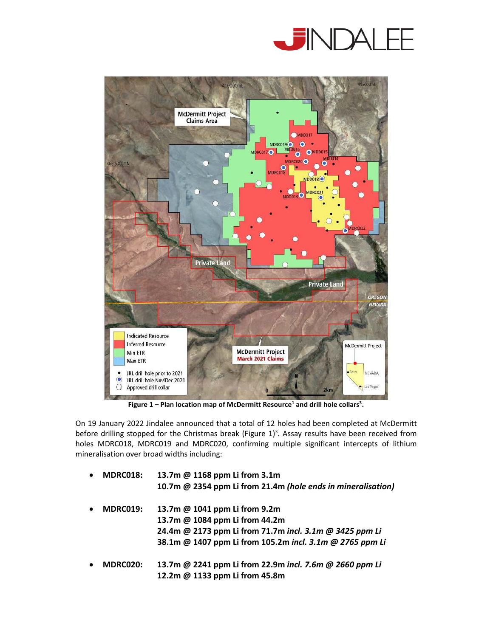



**Figure 1 – Plan location map of McDermitt Resource<sup>1</sup> and drill hole collars<sup>3</sup> .** 

On 19 January 2022 Jindalee announced that a total of 12 holes had been completed at McDermitt before drilling stopped for the Christmas break (Figure  $1$ )<sup>3</sup>. Assay results have been received from holes MDRC018, MDRC019 and MDRC020, confirming multiple significant intercepts of lithium mineralisation over broad widths including:

| MDRC018:<br>$\bullet$ | 13.7m @ 1168 ppm Li from 3.1m                                |
|-----------------------|--------------------------------------------------------------|
|                       | 10.7m @ 2354 ppm Li from 21.4m (hole ends in mineralisation) |
| MDRC019:<br>$\bullet$ | 13.7m @ 1041 ppm Li from 9.2m                                |
|                       | 13.7m @ 1084 ppm Li from 44.2m                               |
|                       | 24.4m @ 2173 ppm Li from 71.7m incl. 3.1m @ 3425 ppm Li      |
|                       | 38.1m @ 1407 ppm Li from 105.2m incl. 3.1m @ 2765 ppm Li     |
| MDRC020:<br>$\bullet$ | 13.7m @ 2241 ppm Li from 22.9m incl. 7.6m @ 2660 ppm Li      |
|                       | 12.2m @ 1133 ppm Li from 45.8m                               |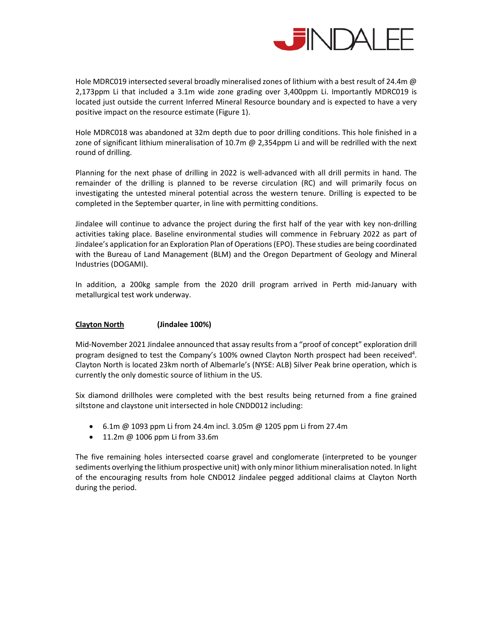

Hole MDRC019 intersected several broadly mineralised zones of lithium with a best result of 24.4m @ 2,173ppm Li that included a 3.1m wide zone grading over 3,400ppm Li. Importantly MDRC019 is located just outside the current Inferred Mineral Resource boundary and is expected to have a very positive impact on the resource estimate (Figure 1).

Hole MDRC018 was abandoned at 32m depth due to poor drilling conditions. This hole finished in a zone of significant lithium mineralisation of 10.7m @ 2,354ppm Li and will be redrilled with the next round of drilling.

Planning for the next phase of drilling in 2022 is well-advanced with all drill permits in hand. The remainder of the drilling is planned to be reverse circulation (RC) and will primarily focus on investigating the untested mineral potential across the western tenure. Drilling is expected to be completed in the September quarter, in line with permitting conditions.

Jindalee will continue to advance the project during the first half of the year with key non-drilling activities taking place. Baseline environmental studies will commence in February 2022 as part of Jindalee's application for an Exploration Plan of Operations (EPO). These studies are being coordinated with the Bureau of Land Management (BLM) and the Oregon Department of Geology and Mineral Industries (DOGAMI).

In addition, a 200kg sample from the 2020 drill program arrived in Perth mid-January with metallurgical test work underway.

#### **Clayton North (Jindalee 100%)**

Mid-November 2021 Jindalee announced that assay results from a "proof of concept" exploration drill program designed to test the Company's 100% owned Clayton North prospect had been received<sup>4</sup>. Clayton North is located 23km north of Albemarle's (NYSE: ALB) Silver Peak brine operation, which is currently the only domestic source of lithium in the US.

Six diamond drillholes were completed with the best results being returned from a fine grained siltstone and claystone unit intersected in hole CNDD012 including:

- $\bullet$  6.1m @ 1093 ppm Li from 24.4m incl. 3.05m @ 1205 ppm Li from 27.4m
- 11.2m @ 1006 ppm Li from 33.6m

The five remaining holes intersected coarse gravel and conglomerate (interpreted to be younger sediments overlying the lithium prospective unit) with only minor lithium mineralisation noted. In light of the encouraging results from hole CND012 Jindalee pegged additional claims at Clayton North during the period.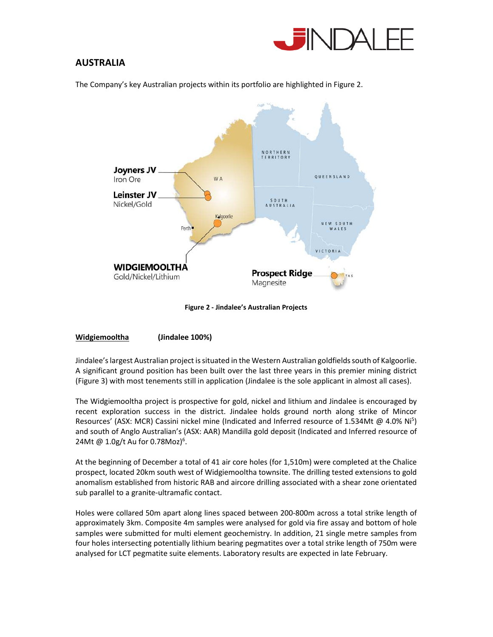

# **AUSTRALIA**

The Company's key Australian projects within its portfolio are highlighted in Figure 2.



**Figure 2 - Jindalee's Australian Projects**

## **Widgiemooltha (Jindalee 100%)**

Jindalee's largest Australian project is situated in the Western Australian goldfields south of Kalgoorlie. A significant ground position has been built over the last three years in this premier mining district (Figure 3) with most tenements still in application (Jindalee is the sole applicant in almost all cases).

The Widgiemooltha project is prospective for gold, nickel and lithium and Jindalee is encouraged by recent exploration success in the district. Jindalee holds ground north along strike of Mincor Resources' (ASX: MCR) Cassini nickel mine (Indicated and Inferred resource of 1.534Mt @ 4.0% Ni<sup>5</sup>) and south of Anglo Australian's (ASX: AAR) Mandilla gold deposit (Indicated and Inferred resource of 24Mt @ 1.0g/t Au for 0.78Moz)<sup>6</sup>.

At the beginning of December a total of 41 air core holes (for 1,510m) were completed at the Chalice prospect, located 20km south west of Widgiemooltha townsite. The drilling tested extensions to gold anomalism established from historic RAB and aircore drilling associated with a shear zone orientated sub parallel to a granite-ultramafic contact.

Holes were collared 50m apart along lines spaced between 200-800m across a total strike length of approximately 3km. Composite 4m samples were analysed for gold via fire assay and bottom of hole samples were submitted for multi element geochemistry. In addition, 21 single metre samples from four holes intersecting potentially lithium bearing pegmatites over a total strike length of 750m were analysed for LCT pegmatite suite elements. Laboratory results are expected in late February.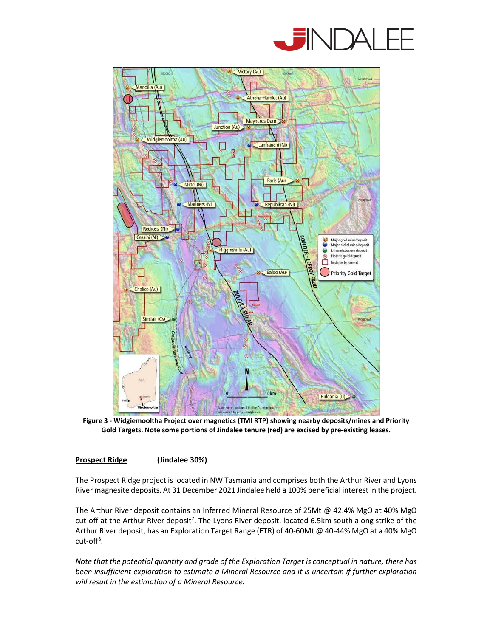



**Figure 3 - Widgiemooltha Project over magnetics (TMI RTP) showing nearby deposits/mines and Priority Gold Targets. Note some portions of Jindalee tenure (red) are excised by pre-existing leases.** 

## **Prospect Ridge (Jindalee 30%)**

The Prospect Ridge project is located in NW Tasmania and comprises both the Arthur River and Lyons River magnesite deposits. At 31 December 2021 Jindalee held a 100% beneficial interest in the project.

The Arthur River deposit contains an Inferred Mineral Resource of 25Mt @ 42.4% MgO at 40% MgO cut-off at the Arthur River deposit<sup>7</sup>. The Lyons River deposit, located 6.5km south along strike of the Arthur River deposit, has an Exploration Target Range (ETR) of 40-60Mt @ 40-44% MgO at a 40% MgO cut-off<sup>8</sup>.

*Note that the potential quantity and grade of the Exploration Target is conceptual in nature, there has been insufficient exploration to estimate a Mineral Resource and it is uncertain if further exploration will result in the estimation of a Mineral Resource.*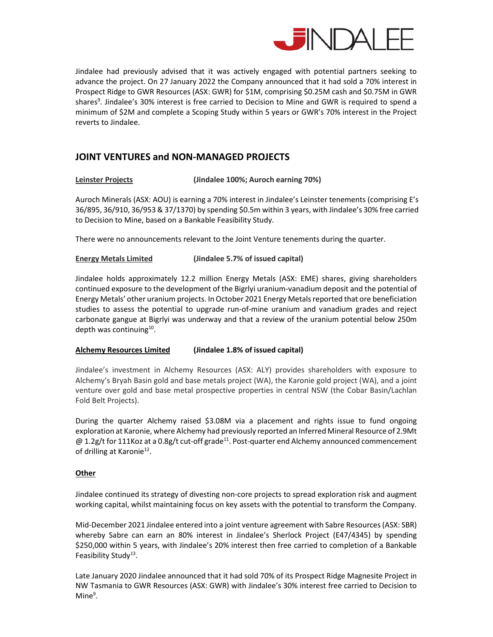

Jindalee had previously advised that it was actively engaged with potential partners seeking to advance the project. On 27 January 2022 the Company announced that it had sold a 70% interest in Prospect Ridge to GWR Resources (ASX: GWR) for \$1M, comprising \$0.25M cash and \$0.75M in GWR shares<sup>9</sup>. Jindalee's 30% interest is free carried to Decision to Mine and GWR is required to spend a minimum of \$2M and complete a Scoping Study within 5 years or GWR's 70% interest in the Project reverts to Jindalee.

# **JOINT VENTURES and NON-MANAGED PROJECTS**

#### **Leinster Projects (Jindalee 100%; Auroch earning 70%)**

Auroch Minerals (ASX: AOU) is earning a 70% interest in Jindalee's Leinster tenements (comprising E's 36/895, 36/910, 36/953 & 37/1370) by spending \$0.5m within 3 years, with Jindalee's 30% free carried to Decision to Mine, based on a Bankable Feasibility Study.

There were no announcements relevant to the Joint Venture tenements during the quarter.

#### **Energy Metals Limited (Jindalee 5.7% of issued capital)**

Jindalee holds approximately 12.2 million Energy Metals (ASX: EME) shares, giving shareholders continued exposure to the development of the Bigrlyi uranium-vanadium deposit and the potential of Energy Metals' other uranium projects. In October 2021 Energy Metals reported that ore beneficiation studies to assess the potential to upgrade run-of-mine uranium and vanadium grades and reject carbonate gangue at Bigrlyi was underway and that a review of the uranium potential below 250m depth was continuing<sup>10</sup>.

#### **Alchemy Resources Limited (Jindalee 1.8% of issued capital)**

Jindalee's investment in Alchemy Resources (ASX: ALY) provides shareholders with exposure to Alchemy's Bryah Basin gold and base metals project (WA), the Karonie gold project (WA), and a joint venture over gold and base metal prospective properties in central NSW (the Cobar Basin/Lachlan Fold Belt Projects).

During the quarter Alchemy raised \$3.08M via a placement and rights issue to fund ongoing exploration at Karonie, where Alchemy had previously reported an Inferred Mineral Resource of 2.9Mt @ 1.2g/t for 111Koz at a 0.8g/t cut-off grade<sup>11</sup>. Post-quarter end Alchemy announced commencement of drilling at Karonie<sup>12</sup>.

#### **Other**

Jindalee continued its strategy of divesting non-core projects to spread exploration risk and augment working capital, whilst maintaining focus on key assets with the potential to transform the Company.

Mid-December 2021 Jindalee entered into a joint venture agreement with Sabre Resources (ASX: SBR) whereby Sabre can earn an 80% interest in Jindalee's Sherlock Project (E47/4345) by spending \$250,000 within 5 years, with Jindalee's 20% interest then free carried to completion of a Bankable Feasibility Study<sup>13</sup>.

Late January 2020 Jindalee announced that it had sold 70% of its Prospect Ridge Magnesite Project in NW Tasmania to GWR Resources (ASX: GWR) with Jindalee's 30% interest free carried to Decision to Mine<sup>9</sup>.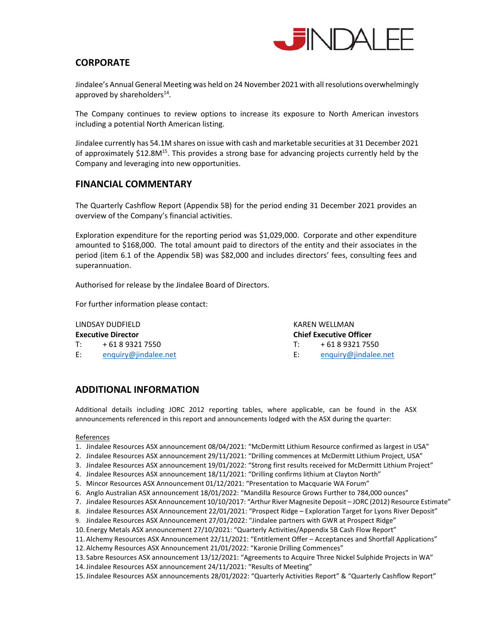

# **CORPORATE**

Jindalee's Annual General Meeting was held on 24 November 2021 with all resolutions overwhelmingly approved by shareholders $^{14}$ .

The Company continues to review options to increase its exposure to North American investors including a potential North American listing.

Jindalee currently has 54.1M shares on issue with cash and marketable securities at 31 December 2021 of approximately \$12.8M<sup>15</sup>. This provides a strong base for advancing projects currently held by the Company and leveraging into new opportunities.

# **FINANCIAL COMMENTARY**

The Quarterly Cashflow Report (Appendix 5B) for the period ending 31 December 2021 provides an overview of the Company's financial activities.

Exploration expenditure for the reporting period was \$1,029,000. Corporate and other expenditure amounted to \$168,000. The total amount paid to directors of the entity and their associates in the period (item 6.1 of the Appendix 5B) was \$82,000 and includes directors' fees, consulting fees and superannuation.

Authorised for release by the Jindalee Board of Directors.

For further information please contact:

T: + 61 8 9321 7550 T: + 61 8 9321 7550

LINDSAY DUDFIELD KAREN WELLMAN **Executive Director Chief Executive Officer**

E: enquiry@jindalee.net E: enquiry@jindalee.net

# **ADDITIONAL INFORMATION**

Additional details including JORC 2012 reporting tables, where applicable, can be found in the ASX announcements referenced in this report and announcements lodged with the ASX during the quarter:

#### References

- 1. Jindalee Resources ASX announcement 08/04/2021: "McDermitt Lithium Resource confirmed as largest in USA"
- 2. Jindalee Resources ASX announcement 29/11/2021: "Drilling commences at McDermitt Lithium Project, USA"
- 3. Jindalee Resources ASX announcement 19/01/2022: "Strong first results received for McDermitt Lithium Project"
- 4. Jindalee Resources ASX announcement 18/11/2021: "Drilling confirms lithium at Clayton North"
- 5. Mincor Resources ASX Announcement 01/12/2021: "Presentation to Macquarie WA Forum"
- 6. Anglo Australian ASX announcement 18/01/2022: "Mandilla Resource Grows Further to 784,000 ounces"
- 7. Jindalee Resources ASX Announcement 10/10/2017: "Arthur River Magnesite Deposit JORC (2012) Resource Estimate"
- 8. Jindalee Resources ASX Announcement 22/01/2021: "Prospect Ridge Exploration Target for Lyons River Deposit"
- 9. Jindalee Resources ASX Announcement 27/01/2022: "Jindalee partners with GWR at Prospect Ridge"
- 10. Energy Metals ASX announcement 27/10/2021: "Quarterly Activities/Appendix 5B Cash Flow Report"
- 11. Alchemy Resources ASX Announcement 22/11/2021: "Entitlement Offer Acceptances and Shortfall Applications"
- 12. Alchemy Resources ASX Announcement 21/01/2022: "Karonie Drilling Commences"
- 13. Sabre Resources ASX announcement 13/12/2021: "Agreements to Acquire Three Nickel Sulphide Projects in WA"
- 14.Jindalee Resources ASX announcement 24/11/2021: "Results of Meeting"
- 15.Jindalee Resources ASX announcements 28/01/2022: "Quarterly Activities Report" & "Quarterly Cashflow Report"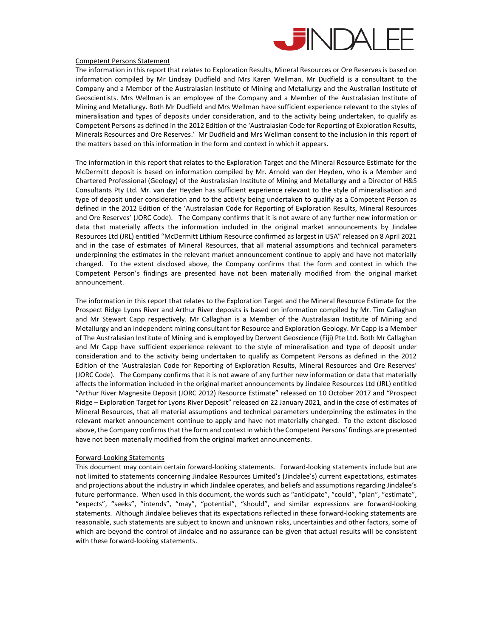

#### Competent Persons Statement

The information in this report that relates to Exploration Results, Mineral Resources or Ore Reserves is based on information compiled by Mr Lindsay Dudfield and Mrs Karen Wellman. Mr Dudfield is a consultant to the Company and a Member of the Australasian Institute of Mining and Metallurgy and the Australian Institute of Geoscientists. Mrs Wellman is an employee of the Company and a Member of the Australasian Institute of Mining and Metallurgy. Both Mr Dudfield and Mrs Wellman have sufficient experience relevant to the styles of mineralisation and types of deposits under consideration, and to the activity being undertaken, to qualify as Competent Persons as defined in the 2012 Edition of the 'Australasian Code for Reporting of Exploration Results, Minerals Resources and Ore Reserves.' Mr Dudfield and Mrs Wellman consent to the inclusion in this report of the matters based on this information in the form and context in which it appears.

The information in this report that relates to the Exploration Target and the Mineral Resource Estimate for the McDermitt deposit is based on information compiled by Mr. Arnold van der Heyden, who is a Member and Chartered Professional (Geology) of the Australasian Institute of Mining and Metallurgy and a Director of H&S Consultants Pty Ltd. Mr. van der Heyden has sufficient experience relevant to the style of mineralisation and type of deposit under consideration and to the activity being undertaken to qualify as a Competent Person as defined in the 2012 Edition of the 'Australasian Code for Reporting of Exploration Results, Mineral Resources and Ore Reserves' (JORC Code). The Company confirms that it is not aware of any further new information or data that materially affects the information included in the original market announcements by Jindalee Resources Ltd (JRL) entitled "McDermitt Lithium Resource confirmed as largest in USA" released on 8 April 2021 and in the case of estimates of Mineral Resources, that all material assumptions and technical parameters underpinning the estimates in the relevant market announcement continue to apply and have not materially changed. To the extent disclosed above, the Company confirms that the form and context in which the Competent Person's findings are presented have not been materially modified from the original market announcement.

The information in this report that relates to the Exploration Target and the Mineral Resource Estimate for the Prospect Ridge Lyons River and Arthur River deposits is based on information compiled by Mr. Tim Callaghan and Mr Stewart Capp respectively. Mr Callaghan is a Member of the Australasian Institute of Mining and Metallurgy and an independent mining consultant for Resource and Exploration Geology. Mr Capp is a Member of The Australasian Institute of Mining and is employed by Derwent Geoscience (Fiji) Pte Ltd. Both Mr Callaghan and Mr Capp have sufficient experience relevant to the style of mineralisation and type of deposit under consideration and to the activity being undertaken to qualify as Competent Persons as defined in the 2012 Edition of the 'Australasian Code for Reporting of Exploration Results, Mineral Resources and Ore Reserves' (JORC Code). The Company confirms that it is not aware of any further new information or data that materially affects the information included in the original market announcements by Jindalee Resources Ltd (JRL) entitled "Arthur River Magnesite Deposit (JORC 2012) Resource Estimate" released on 10 October 2017 and "Prospect Ridge – Exploration Target for Lyons River Deposit" released on 22 January 2021, and in the case of estimates of Mineral Resources, that all material assumptions and technical parameters underpinning the estimates in the relevant market announcement continue to apply and have not materially changed. To the extent disclosed above, the Company confirms that the form and context in which the Competent Persons' findings are presented have not been materially modified from the original market announcements.

#### Forward-Looking Statements

This document may contain certain forward-looking statements. Forward-looking statements include but are not limited to statements concerning Jindalee Resources Limited's (Jindalee's) current expectations, estimates and projections about the industry in which Jindalee operates, and beliefs and assumptions regarding Jindalee's future performance. When used in this document, the words such as "anticipate", "could", "plan", "estimate", "expects", "seeks", "intends", "may", "potential", "should", and similar expressions are forward-looking statements. Although Jindalee believes that its expectations reflected in these forward-looking statements are reasonable, such statements are subject to known and unknown risks, uncertainties and other factors, some of which are beyond the control of Jindalee and no assurance can be given that actual results will be consistent with these forward-looking statements.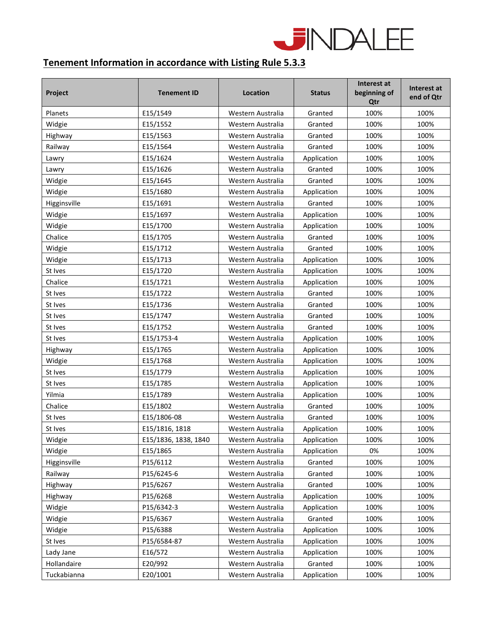

# **Tenement Information in accordance with Listing Rule 5.3.3**

| Project      | <b>Tenement ID</b>   | Location          | <b>Status</b> | Interest at<br>beginning of<br>Qtr | Interest at<br>end of Qtr |
|--------------|----------------------|-------------------|---------------|------------------------------------|---------------------------|
| Planets      | E15/1549             | Western Australia | Granted       | 100%                               | 100%                      |
| Widgie       | E15/1552             | Western Australia | Granted       | 100%                               | 100%                      |
| Highway      | E15/1563             | Western Australia | Granted       | 100%                               | 100%                      |
| Railway      | E15/1564             | Western Australia | Granted       | 100%                               | 100%                      |
| Lawry        | E15/1624             | Western Australia | Application   | 100%                               | 100%                      |
| Lawry        | E15/1626             | Western Australia | Granted       | 100%                               | 100%                      |
| Widgie       | E15/1645             | Western Australia | Granted       | 100%                               | 100%                      |
| Widgie       | E15/1680             | Western Australia | Application   | 100%                               | 100%                      |
| Higginsville | E15/1691             | Western Australia | Granted       | 100%                               | 100%                      |
| Widgie       | E15/1697             | Western Australia | Application   | 100%                               | 100%                      |
| Widgie       | E15/1700             | Western Australia | Application   | 100%                               | 100%                      |
| Chalice      | E15/1705             | Western Australia | Granted       | 100%                               | 100%                      |
| Widgie       | E15/1712             | Western Australia | Granted       | 100%                               | 100%                      |
| Widgie       | E15/1713             | Western Australia | Application   | 100%                               | 100%                      |
| St Ives      | E15/1720             | Western Australia | Application   | 100%                               | 100%                      |
| Chalice      | E15/1721             | Western Australia | Application   | 100%                               | 100%                      |
| St Ives      | E15/1722             | Western Australia | Granted       | 100%                               | 100%                      |
| St Ives      | E15/1736             | Western Australia | Granted       | 100%                               | 100%                      |
| St Ives      | E15/1747             | Western Australia | Granted       | 100%                               | 100%                      |
| St Ives      | E15/1752             | Western Australia | Granted       | 100%                               | 100%                      |
| St Ives      | E15/1753-4           | Western Australia | Application   | 100%                               | 100%                      |
| Highway      | E15/1765             | Western Australia | Application   | 100%                               | 100%                      |
| Widgie       | E15/1768             | Western Australia | Application   | 100%                               | 100%                      |
| St Ives      | E15/1779             | Western Australia | Application   | 100%                               | 100%                      |
| St Ives      | E15/1785             | Western Australia | Application   | 100%                               | 100%                      |
| Yilmia       | E15/1789             | Western Australia | Application   | 100%                               | 100%                      |
| Chalice      | E15/1802             | Western Australia | Granted       | 100%                               | 100%                      |
| St Ives      | E15/1806-08          | Western Australia | Granted       | 100%                               | 100%                      |
| St Ives      | E15/1816, 1818       | Western Australia | Application   | 100%                               | 100%                      |
| Widgie       | E15/1836, 1838, 1840 | Western Australia | Application   | 100%                               | 100%                      |
| Widgie       | E15/1865             | Western Australia | Application   | 0%                                 | 100%                      |
| Higginsville | P15/6112             | Western Australia | Granted       | 100%                               | 100%                      |
| Railway      | P15/6245-6           | Western Australia | Granted       | 100%                               | 100%                      |
| Highway      | P15/6267             | Western Australia | Granted       | 100%                               | 100%                      |
| Highway      | P15/6268             | Western Australia | Application   | 100%                               | 100%                      |
| Widgie       | P15/6342-3           | Western Australia | Application   | 100%                               | 100%                      |
| Widgie       | P15/6367             | Western Australia | Granted       | 100%                               | 100%                      |
| Widgie       | P15/6388             | Western Australia | Application   | 100%                               | 100%                      |
| St Ives      | P15/6584-87          | Western Australia | Application   | 100%                               | 100%                      |
| Lady Jane    | E16/572              | Western Australia | Application   | 100%                               | 100%                      |
| Hollandaire  | E20/992              | Western Australia | Granted       | 100%                               | 100%                      |
| Tuckabianna  | E20/1001             | Western Australia | Application   | 100%                               | 100%                      |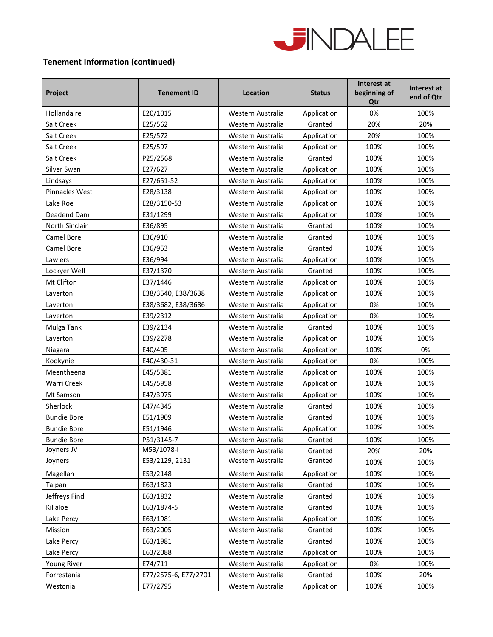

# **Tenement Information (continued)**

| Project            | <b>Tenement ID</b>   | Location          | <b>Status</b> | Interest at<br>beginning of<br>Qtr | Interest at<br>end of Qtr |
|--------------------|----------------------|-------------------|---------------|------------------------------------|---------------------------|
| Hollandaire        | E20/1015             | Western Australia | Application   | 0%                                 | 100%                      |
| Salt Creek         | E25/562              | Western Australia | Granted       | 20%                                | 20%                       |
| Salt Creek         | E25/572              | Western Australia | Application   | 20%                                | 100%                      |
| Salt Creek         | E25/597              | Western Australia | Application   | 100%                               | 100%                      |
| Salt Creek         | P25/2568             | Western Australia | Granted       | 100%                               | 100%                      |
| Silver Swan        | E27/627              | Western Australia | Application   | 100%                               | 100%                      |
| Lindsays           | E27/651-52           | Western Australia | Application   | 100%                               | 100%                      |
| Pinnacles West     | E28/3138             | Western Australia | Application   | 100%                               | 100%                      |
| Lake Roe           | E28/3150-53          | Western Australia | Application   | 100%                               | 100%                      |
| Deadend Dam        | E31/1299             | Western Australia | Application   | 100%                               | 100%                      |
| North Sinclair     | E36/895              | Western Australia | Granted       | 100%                               | 100%                      |
| Camel Bore         | E36/910              | Western Australia | Granted       | 100%                               | 100%                      |
| Camel Bore         | E36/953              | Western Australia | Granted       | 100%                               | 100%                      |
| Lawlers            | E36/994              | Western Australia | Application   | 100%                               | 100%                      |
| Lockyer Well       | E37/1370             | Western Australia | Granted       | 100%                               | 100%                      |
| Mt Clifton         | E37/1446             | Western Australia | Application   | 100%                               | 100%                      |
| Laverton           | E38/3540, E38/3638   | Western Australia | Application   | 100%                               | 100%                      |
| Laverton           | E38/3682, E38/3686   | Western Australia | Application   | 0%                                 | 100%                      |
| Laverton           | E39/2312             | Western Australia | Application   | 0%                                 | 100%                      |
| Mulga Tank         | E39/2134             | Western Australia | Granted       | 100%                               | 100%                      |
| Laverton           | E39/2278             | Western Australia | Application   | 100%                               | 100%                      |
| Niagara            | E40/405              | Western Australia | Application   | 100%                               | 0%                        |
| Kookynie           | E40/430-31           | Western Australia | Application   | 0%                                 | 100%                      |
| Meentheena         | E45/5381             | Western Australia | Application   | 100%                               | 100%                      |
| Warri Creek        | E45/5958             | Western Australia | Application   | 100%                               | 100%                      |
| Mt Samson          | E47/3975             | Western Australia | Application   | 100%                               | 100%                      |
| Sherlock           | E47/4345             | Western Australia | Granted       | 100%                               | 100%                      |
| <b>Bundie Bore</b> | E51/1909             | Western Australia | Granted       | 100%                               | 100%                      |
| <b>Bundie Bore</b> | E51/1946             | Western Australia | Application   | 100%                               | 100%                      |
| <b>Bundie Bore</b> | P51/3145-7           | Western Australia | Granted       | 100%                               | 100%                      |
| Joyners JV         | M53/1078-I           | Western Australia | Granted       | 20%                                | 20%                       |
| Joyners            | E53/2129, 2131       | Western Australia | Granted       | 100%                               | 100%                      |
| Magellan           | E53/2148             | Western Australia | Application   | 100%                               | 100%                      |
| Taipan             | E63/1823             | Western Australia | Granted       | 100%                               | 100%                      |
| Jeffreys Find      | E63/1832             | Western Australia | Granted       | 100%                               | 100%                      |
| Killaloe           | E63/1874-5           | Western Australia | Granted       | 100%                               | 100%                      |
| Lake Percy         | E63/1981             | Western Australia | Application   | 100%                               | 100%                      |
| Mission            | E63/2005             | Western Australia | Granted       | 100%                               | 100%                      |
| Lake Percy         | E63/1981             | Western Australia | Granted       | 100%                               | 100%                      |
| Lake Percy         | E63/2088             | Western Australia | Application   | 100%                               | 100%                      |
| Young River        | E74/711              | Western Australia | Application   | 0%                                 | 100%                      |
| Forrestania        | E77/2575-6, E77/2701 | Western Australia | Granted       | 100%                               | 20%                       |
| Westonia           | E77/2795             | Western Australia | Application   | 100%                               | 100%                      |